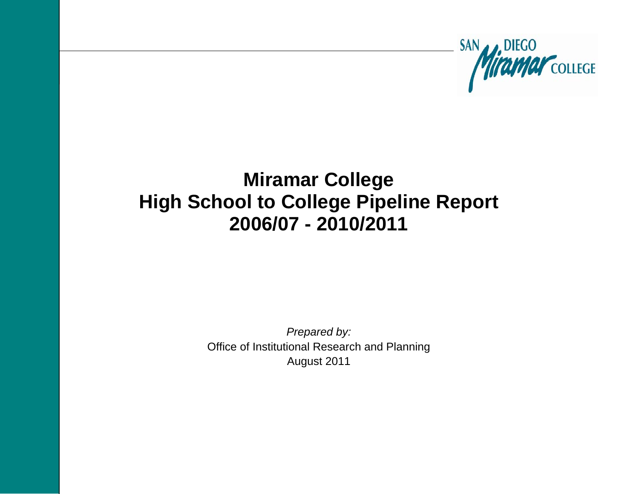

# **Miramar College High School to College Pipeline Report 2006/07 - 2010/2011**

*Prepared by:*  Office of Institutional Research and Planning August 2011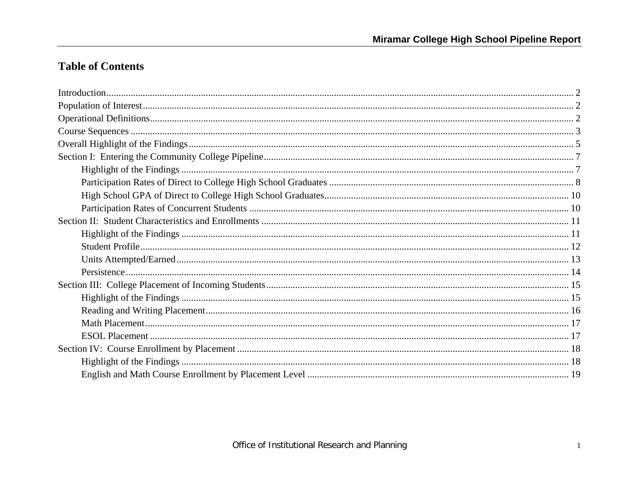## **Table of Contents**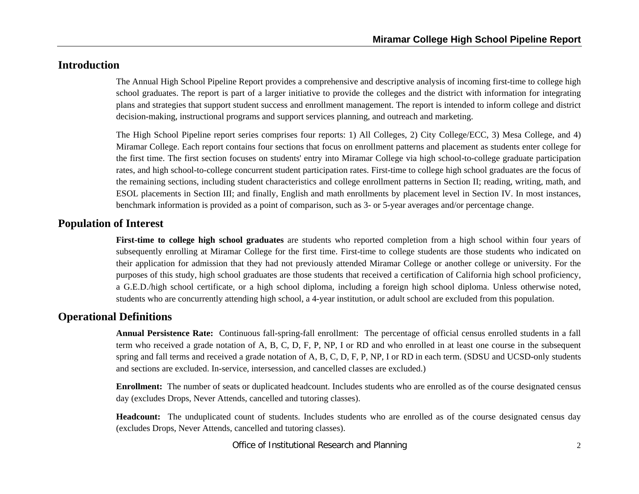## **Introduction**

The Annual High School Pipeline Report provides a comprehensive and descriptive analysis of incoming first-time to college high school graduates. The report is part of a larger initiative to provide the colleges and the district with information for integrating plans and strategies that support student success and enrollment management. The report is intended to inform college and district decision-making, instructional programs and support services planning, and outreach and marketing.

The High School Pipeline report series comprises four reports: 1) All Colleges, 2) City College/ECC, 3) Mesa College, and 4) Miramar College. Each report contains four sections that focus on enrollment patterns and placement as students enter college for the first time. The first section focuses on students' entry into Miramar College via high school-to-college graduate participation rates, and high school-to-college concurrent student participation rates. First-time to college high school graduates are the focus of the remaining sections, including student characteristics and college enrollment patterns in Section II; reading, writing, math, and ESOL placements in Section III; and finally, English and math enrollments by placement level in Section IV. In most instances, benchmark information is provided as a point of comparison, such as 3- or 5-year averages and/or percentage change.

## **Population of Interest**

**First-time to college high school graduates** are students who reported completion from a high school within four years of subsequently enrolling at Miramar College for the first time. First-time to college students are those students who indicated on their application for admission that they had not previously attended Miramar College or another college or university. For the purposes of this study, high school graduates are those students that received a certification of California high school proficiency, a G.E.D./high school certificate, or a high school diploma, including a foreign high school diploma. Unless otherwise noted, students who are concurrently attending high school, a 4-year institution, or adult school are excluded from this population.

## **Operational Definitions**

**Annual Persistence Rate:** Continuous fall-spring-fall enrollment: The percentage of official census enrolled students in a fall term who received a grade notation of A, B, C, D, F, P, NP, I or RD and who enrolled in at least one course in the subsequent spring and fall terms and received a grade notation of A, B, C, D, F, P, NP, I or RD in each term. (SDSU and UCSD-only students and sections are excluded. In-service, intersession, and cancelled classes are excluded.)

**Enrollment:** The number of seats or duplicated headcount. Includes students who are enrolled as of the course designated census day (excludes Drops, Never Attends, cancelled and tutoring classes).

**Headcount:** The unduplicated count of students. Includes students who are enrolled as of the course designated census day (excludes Drops, Never Attends, cancelled and tutoring classes).

Office of Institutional Research and Planning 2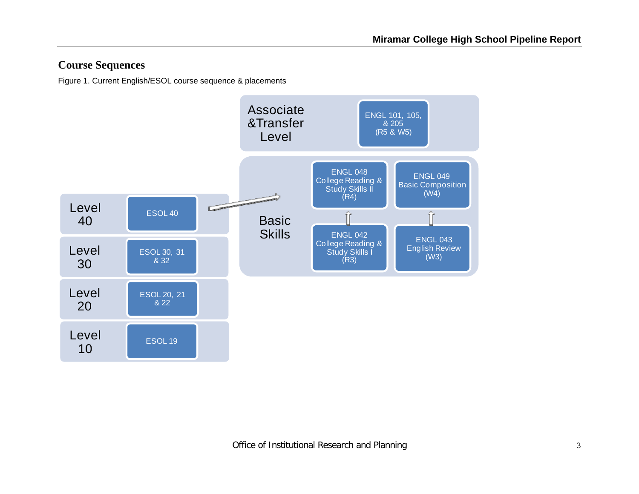## **Course Sequences**

Figure 1. Current English/ESOL course sequence & placements

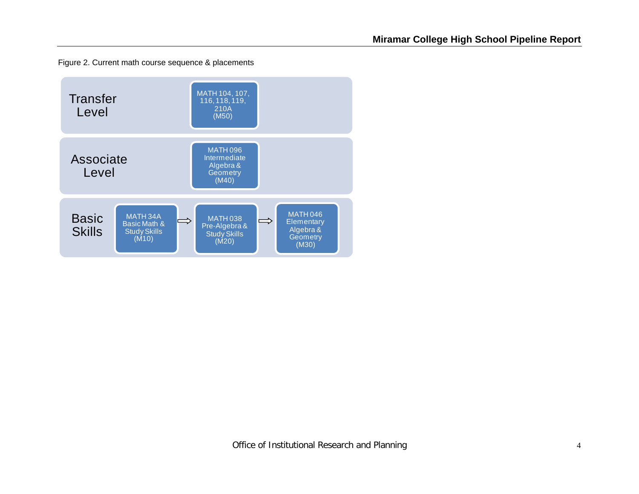Figure 2. Current math course sequence & placements

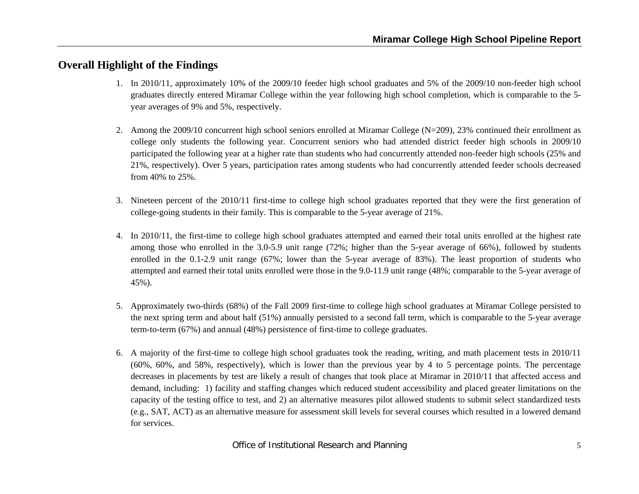## **Overall Highlight of the Findings**

- 1. In 2010/11, approximately 10% of the 2009/10 feeder high school graduates and 5% of the 2009/10 non-feeder high school graduates directly entered Miramar College within the year following high school completion, which is comparable to the 5 year averages of 9% and 5%, respectively.
- 2. Among the 2009/10 concurrent high school seniors enrolled at Miramar College (N=209), 23% continued their enrollment as college only students the following year. Concurrent seniors who had attended district feeder high schools in 2009/10 participated the following year at a higher rate than students who had concurrently attended non-feeder high schools (25% and 21%, respectively). Over 5 years, participation rates among students who had concurrently attended feeder schools decreased from 40% to 25%.
- 3. Nineteen percent of the 2010/11 first-time to college high school graduates reported that they were the first generation of college-going students in their family. This is comparable to the 5-year average of 21%.
- 4. In 2010/11, the first-time to college high school graduates attempted and earned their total units enrolled at the highest rate among those who enrolled in the 3.0-5.9 unit range (72%; higher than the 5-year average of 66%), followed by students enrolled in the 0.1-2.9 unit range (67%; lower than the 5-year average of 83%). The least proportion of students who attempted and earned their total units enrolled were those in the 9.0-11.9 unit range (48%; comparable to the 5-year average of 45%).
- 5. Approximately two-thirds (68%) of the Fall 2009 first-time to college high school graduates at Miramar College persisted to the next spring term and about half (51%) annually persisted to a second fall term, which is comparable to the 5-year average term-to-term (67%) and annual (48%) persistence of first-time to college graduates.
- 6. A majority of the first-time to college high school graduates took the reading, writing, and math placement tests in 2010/11 (60%, 60%, and 58%, respectively), which is lower than the previous year by 4 to 5 percentage points. The percentage decreases in placements by test are likely a result of changes that took place at Miramar in 2010/11 that affected access and demand, including: 1) facility and staffing changes which reduced student accessibility and placed greater limitations on the capacity of the testing office to test, and 2) an alternative measures pilot allowed students to submit select standardized tests (e.g., SAT, ACT) as an alternative measure for assessment skill levels for several courses which resulted in a lowered demand for services.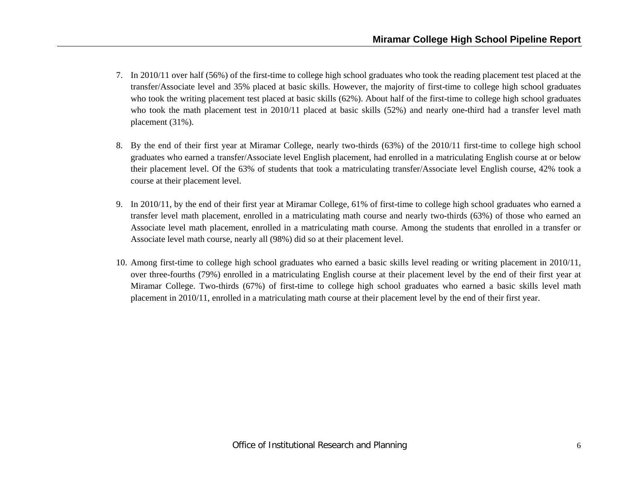- 7. In 2010/11 over half (56%) of the first-time to college high school graduates who took the reading placement test placed at the transfer/Associate level and 35% placed at basic skills. However, the majority of first-time to college high school graduates who took the writing placement test placed at basic skills (62%). About half of the first-time to college high school graduates who took the math placement test in 2010/11 placed at basic skills (52%) and nearly one-third had a transfer level math placement (31%).
- 8. By the end of their first year at Miramar College, nearly two-thirds (63%) of the 2010/11 first-time to college high school graduates who earned a transfer/Associate level English placement, had enrolled in a matriculating English course at or below their placement level. Of the 63% of students that took a matriculating transfer/Associate level English course, 42% took a course at their placement level.
- 9. In 2010/11, by the end of their first year at Miramar College, 61% of first-time to college high school graduates who earned a transfer level math placement, enrolled in a matriculating math course and nearly two-thirds (63%) of those who earned an Associate level math placement, enrolled in a matriculating math course. Among the students that enrolled in a transfer or Associate level math course, nearly all (98%) did so at their placement level.
- 10. Among first-time to college high school graduates who earned a basic skills level reading or writing placement in 2010/11, over three-fourths (79%) enrolled in a matriculating English course at their placement level by the end of their first year at Miramar College. Two-thirds (67%) of first-time to college high school graduates who earned a basic skills level math placement in 2010/11, enrolled in a matriculating math course at their placement level by the end of their first year.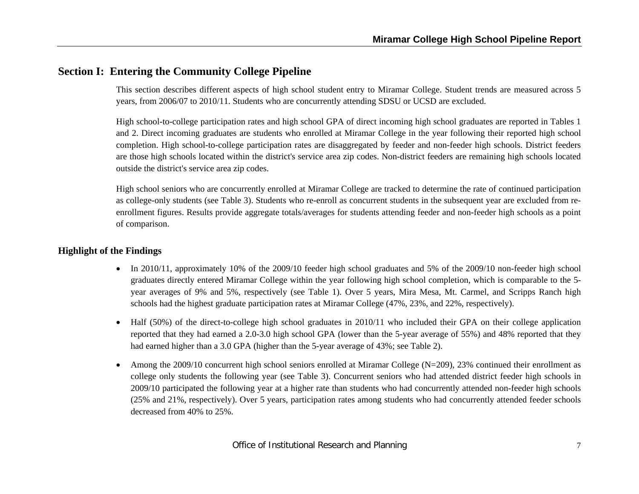## **Section I: Entering the Community College Pipeline**

This section describes different aspects of high school student entry to Miramar College. Student trends are measured across 5 years, from 2006/07 to 2010/11. Students who are concurrently attending SDSU or UCSD are excluded.

High school-to-college participation rates and high school GPA of direct incoming high school graduates are reported in Tables 1 and 2. Direct incoming graduates are students who enrolled at Miramar College in the year following their reported high school completion. High school-to-college participation rates are disaggregated by feeder and non-feeder high schools. District feeders are those high schools located within the district's service area zip codes. Non-district feeders are remaining high schools located outside the district's service area zip codes.

High school seniors who are concurrently enrolled at Miramar College are tracked to determine the rate of continued participation as college-only students (see Table 3). Students who re-enroll as concurrent students in the subsequent year are excluded from reenrollment figures. Results provide aggregate totals/averages for students attending feeder and non-feeder high schools as a point of comparison.

- In 2010/11, approximately 10% of the 2009/10 feeder high school graduates and 5% of the 2009/10 non-feeder high school graduates directly entered Miramar College within the year following high school completion, which is comparable to the 5 year averages of 9% and 5%, respectively (see Table 1). Over 5 years, Mira Mesa, Mt. Carmel, and Scripps Ranch high schools had the highest graduate participation rates at Miramar College (47%, 23%, and 22%, respectively).
- 0 Half (50%) of the direct-to-college high school graduates in 2010/11 who included their GPA on their college application reported that they had earned a 2.0-3.0 high school GPA (lower than the 5-year average of 55%) and 48% reported that they had earned higher than a 3.0 GPA (higher than the 5-year average of 43%; see Table 2).
- 0 Among the 2009/10 concurrent high school seniors enrolled at Miramar College (N=209), 23% continued their enrollment as college only students the following year (see Table 3). Concurrent seniors who had attended district feeder high schools in 2009/10 participated the following year at a higher rate than students who had concurrently attended non-feeder high schools (25% and 21%, respectively). Over 5 years, participation rates among students who had concurrently attended feeder schools decreased from 40% to 25%.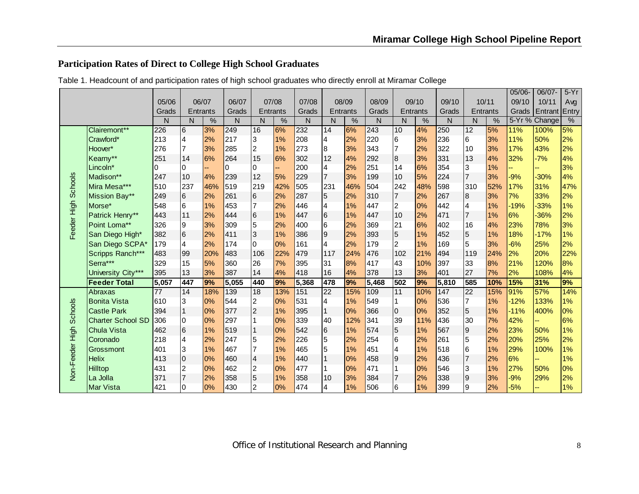## **Participation Rates of Direct to College High School Graduates**

|                 |                          |                 |                 |          |       |                 |       |              |                |               |       |                  |       |       |                 |               | 05/06- | 06/07-        | $5-Yr$ |
|-----------------|--------------------------|-----------------|-----------------|----------|-------|-----------------|-------|--------------|----------------|---------------|-------|------------------|-------|-------|-----------------|---------------|--------|---------------|--------|
|                 |                          | 05/06           |                 | 06/07    | 06/07 |                 | 07/08 | 07/08        |                | 08/09         | 08/09 |                  | 09/10 | 09/10 |                 | 10/11         | 09/10  | 10/11         | Avg    |
|                 |                          | Grads           |                 | Entrants | Grads | Entrants        |       | Grads        |                | Entrants      | Grads | Entrants         |       | Grads | <b>Entrants</b> |               | Grads  | Entrant       | Entry  |
|                 |                          | N               | N               | $\%$     | N     | N               | $\%$  | $\mathsf{N}$ | N              | $\frac{0}{0}$ | N     | N                | %     | N     | N               | $\frac{0}{0}$ |        | 5-Yr % Change | %      |
|                 | Clairemont**             | 226             | 6               | 3%       | 249   | 16              | 6%    | 232          | 14             | 6%            | 243   | 10               | 4%    | 250   | $\overline{12}$ | 5%            | 11%    | 100%          | 5%     |
|                 | Crawford*                | 213             | 4               | 2%       | 217   | $\overline{3}$  | 1%    | 208          | $\overline{A}$ | 2%            | 220   | 6                | 3%    | 236   | 16              | 3%            | 11%    | 50%           | 2%     |
|                 | Hoover*                  | 276             | 7               | 3%       | 285   | $\overline{2}$  | 1%    | 273          | 8              | 3%            | 343   | $\overline{7}$   | 2%    | 322   | 10              | 3%            | 17%    | 43%           | 2%     |
|                 | Kearny**                 | 251             | 14              | 6%       | 264   | 15              | 6%    | 302          | 12             | 4%            | 292   | 8                | 3%    | 331   | 13              | 4%            | 32%    | $-7%$         | 4%     |
|                 | Lincoln*                 | 0               | 0               |          | 0     | $\Omega$        |       | 200          | $\overline{a}$ | 2%            | 251   | 14               | 6%    | 354   | 3               | 1%            |        |               | 3%     |
|                 | Madison**                | 247             | 10              | 4%       | 239   | 12              | 5%    | 229          | $\overline{7}$ | 3%            | 199   | 10               | 5%    | 224   | $\overline{7}$  | 3%            | $-9%$  | $-30%$        | 4%     |
| Schools         | Mira Mesa***             | 510             | 237             | 46%      | 519   | 219             | 42%   | 505          | 231            | 46%           | 504   | 242              | 48%   | 598   | 310             | 52%           | 17%    | 31%           | 47%    |
|                 | Mission Bay**            | 249             | $6\phantom{.}6$ | 2%       | 261   | $6\phantom{.}6$ | 2%    | 287          | 5              | 2%            | 310   | $\overline{7}$   | 2%    | 267   | 8               | 3%            | 7%     | 33%           | 2%     |
|                 | Morse*                   | 548             | 6               | 1%       | 453   | $\overline{7}$  | 2%    | 446          | $\overline{4}$ | 1%            | 447   | $\overline{2}$   | 0%    | 442   | $\overline{4}$  | 1%            | $-19%$ | $-33%$        | 1%     |
|                 | Patrick Henry**          | 443             | 11              | 2%       | 444   | $\,$ 6          | 1%    | 447          | 6              | 1%            | 447   | 10               | 2%    | 471   | $\overline{7}$  | 1%            | 6%     | -36%          | 2%     |
| Feeder High     | Point Loma**             | 326             | 9               | 3%       | 309   | 5               | 2%    | 400          | 6              | 2%            | 369   | 21               | 6%    | 402   | 16              | 4%            | 23%    | 78%           | 3%     |
|                 | San Diego High*          | 382             | $6\overline{6}$ | 2%       | 411   | $\overline{3}$  | 1%    | 386          | 9              | 2%            | 393   | 5                | 1%    | 452   | 5               | 1%            | 18%    | $-17%$        | 1%     |
|                 | San Diego SCPA*          | 179             | $\overline{4}$  | 2%       | 174   | $\overline{0}$  | 0%    | 161          | 4              | 2%            | 179   | $\overline{2}$   | 1%    | 169   | 5               | 3%            | $-6%$  | 25%           | 2%     |
|                 | Scripps Ranch***         | 483             | 99              | 20%      | 483   | 106             | 22%   | 479          | 117            | 24%           | 476   | 102              | 21%   | 494   | 119             | 24%           | 2%     | 20%           | 22%    |
|                 | Serra***                 | 329             | 15              | 5%       | 360   | 26              | 7%    | 395          | 31             | 8%            | 417   | 43               | 10%   | 397   | 33              | 8%            | 21%    | 120%          | 8%     |
|                 | University City***       | 395             | 13              | 3%       | 387   | 14              | 4%    | 418          | 16             | 4%            | 378   | 13               | 3%    | 401   | 27              | 7%            | 2%     | 108%          | 4%     |
|                 | <b>Feeder Total</b>      | 5,057           | 447             | 9%       | 5,055 | 440             | 9%    | 5,368        | 478            | 9%            | 5,468 | 502              | 9%    | 5,810 | 585             | 10%           | 15%    | 31%           | 9%     |
|                 | Abraxas                  | $\overline{77}$ | 14              | 18%      | 139   | 18              | 13%   | 151          | 22             | 15%           | 109   | 11               | 10%   | 147   | $\overline{22}$ | 15%           | 91%    | 57%           | 14%    |
|                 | <b>Bonita Vista</b>      | 610             | 3               | 0%       | 544   | $\overline{a}$  | 0%    | 531          | 4              | 1%            | 549   | $\vert$ 1        | 0%    | 536   | 17              | 1%            | $-12%$ | 133%          | 1%     |
| <b>Schools</b>  | <b>Castle Park</b>       | 394             | $\mathbf{1}$    | 0%       | 377   | $\overline{c}$  | 1%    | 395          | $\mathbf{1}$   | 0%            | 366   | $\overline{0}$   | 0%    | 352   | 5               | 1%            | $-11%$ | 400%          | 0%     |
|                 | <b>Charter School SD</b> | 306             | $\overline{0}$  | 0%       | 297   |                 | 0%    | 339          | 40             | 12%           | 341   | 39               | 11%   | 436   | 30              | 7%            | 42%    |               | 6%     |
|                 | <b>Chula Vista</b>       | 462             | $6\overline{6}$ | 1%       | 519   |                 | 0%    | 542          | 6              | 1%            | 574   | 5                | 1%    | 567   | 9               | 2%            | 23%    | 50%           | 1%     |
|                 | Coronado                 | 218             | 4               | 2%       | 247   | 5               | 2%    | 226          | 5              | 2%            | 254   | 6                | 2%    | 261   | 5               | 2%            | 20%    | 25%           | 2%     |
|                 | Grossmont                | 401             | 3               | 1%       | 467   |                 | 1%    | 465          | 5              | 1%            | 451   | $\overline{4}$   | 1%    | 518   | l6              | 1%            | 29%    | 100%          | 1%     |
|                 | <b>Helix</b>             | 413             | $\overline{0}$  | 0%       | 460   | 4               | 1%    | 440          | $\mathbf{1}$   | 0%            | 458   | $\boldsymbol{9}$ | 2%    | 436   | 7               | 2%            | 6%     |               | 1%     |
| Non-Feeder High | Hilltop                  | 431             | 2               | 0%       | 462   | 2               | 0%    | 477          |                | 0%            | 471   |                  | 0%    | 546   | 3               | 1%            | 27%    | 50%           | 0%     |
|                 | La Jolla                 | 371             |                 | 2%       | 358   | 5               | 1%    | 358          | 10             | 3%            | 384   |                  | 2%    | 338   | $\overline{9}$  | 3%            | $-9%$  | 29%           | 2%     |
|                 | Mar Vista                | 421             | n               | 0%       | 430   | $\mathcal{D}$   | 0%    | 474          | 4              | $1\%$         | 506   | 6                | $1\%$ | 399   | g               | 2%            | $-5%$  |               | 1%     |

Table 1. Headcount of and participation rates of high school graduates who directly enroll at Miramar College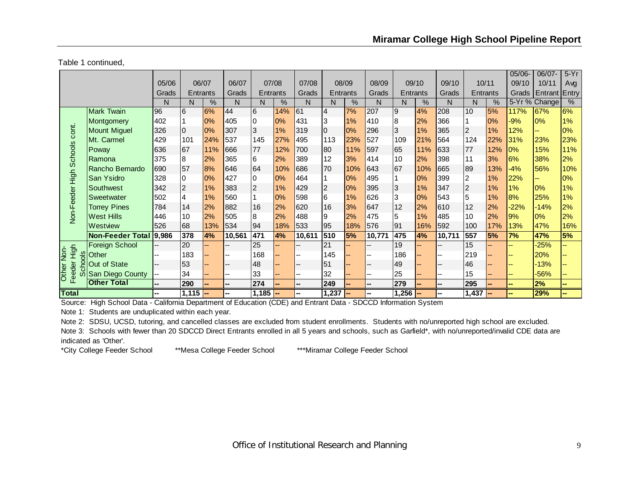Table 1 continued,

|                                   |                         |       |                  |       |                |                |     |                          |                |       |        |          |               |        |          |               | $05/06 -$ | 06/07         | $5-Yr$        |
|-----------------------------------|-------------------------|-------|------------------|-------|----------------|----------------|-----|--------------------------|----------------|-------|--------|----------|---------------|--------|----------|---------------|-----------|---------------|---------------|
|                                   |                         | 05/06 |                  | 06/07 | 06/07          | 07/08          |     | 07/08                    |                | 08/09 | 08/09  |          | 09/10         | 09/10  | 10/11    |               | 09/10     | 10/11         | Avg           |
|                                   |                         | Grads | Entrants         |       | Grads          | Entrants       |     | Grads                    | Entrants       |       | Grads  | Entrants |               | Grads  | Entrants |               | Grads     | Entrant Entry |               |
|                                   |                         | N     | N                | %     | N              | N              | %   | N                        | N              | %     | N      | N        | $\frac{9}{6}$ | N      | N        | $\frac{0}{0}$ |           | 5-Yr % Change | $\frac{0}{2}$ |
|                                   | <b>Mark Twain</b>       | 96    | 6                | 6%    | 44             | l6             | 14% | 61                       | $\overline{4}$ | 7%    | 207    | 9        | 4%            | 208    | 10       | 5%            | 117%      | 67%           | 6%            |
|                                   | Montgomery              | 402   |                  | 0%    | 405            | 0              | 0%  | 431                      | 3              | 1%    | 410    | 8        | 2%            | 366    |          | 0%            | $-9%$     | 0%            | 1%            |
| cont.                             | <b>Mount Miguel</b>     | 326   | $\overline{0}$   | 0%    | 307            | 3              | 1%  | 319                      | $\overline{0}$ | 0%    | 296    | 3        | 1%            | 365    | 2        | 1%            | 12%       | н.            | 0%            |
|                                   | Mt. Carmel              | 429   | 101              | 24%   | 537            | 145            | 27% | 495                      | 113            | 23%   | 527    | 109      | 21%           | 564    | 124      | 22%           | 31%       | 23%           | 23%           |
|                                   | Poway                   | 636   | 67               | 11%   | 666            | 77             | 12% | 700                      | 80             | 11%   | 597    | 65       | 11%           | 633    | 77       | 12%           | 0%        | 15%           | 11%           |
|                                   | Ramona                  | 375   | 8                | 2%    | 365            | 6              | 2%  | 389                      | 12             | 3%    | 414    | 10       | 2%            | 398    | 11       | 3%            | 6%        | 38%           | 2%            |
|                                   | Rancho Bernardo         | 690   | 57               | 8%    | 646            | 64             | 10% | 686                      | 70             | 10%   | 643    | 67       | 10%           | 665    | 89       | 13%           | $-4%$     | 56%           | 10%           |
|                                   | San Ysidro              | 328   | 0                | 0%    | 427            | 0              | 0%  | 464                      |                | 0%    | 495    |          | 0%            | 399    | 2        | 1%            | 22%       |               | 0%            |
|                                   | Southwest               | 342   | $\boldsymbol{2}$ | 1%    | 383            | $\overline{2}$ | 1%  | 429                      | $\overline{2}$ | 0%    | 395    | 3        | $1\%$         | 347    | 2        | 1%            | 1%        | 0%            | 1%            |
|                                   | Sweetwater              | 502   | 4                | 1%    | 560            |                | 0%  | 598                      | 6              | 1%    | 626    | 3        | 0%            | 543    | 5        | 1%            | 8%        | 25%           | 1%            |
|                                   | <b>Torrey Pines</b>     | 784   | 14               | 2%    | 882            | 16             | 2%  | 620                      | 16             | 3%    | 647    | 12       | 2%            | 610    | 12       | 2%            | $-22%$    | $-14%$        | 2%            |
| Non-Feeder High Schools           | <b>West Hills</b>       | 446   | 10               | 2%    | 505            | 8              | 2%  | 488                      | 9              | 2%    | 475    | 5        | 1%            | 485    | 10       | 2%            | 9%        | 0%            | 2%            |
|                                   | Westview                | 526   | 68               | 13%   | 534            | 94             | 18% | 533                      | 95             | 18%   | 576    | 91       | 16%           | 592    | 100      | 17%           | 13%       | 47%           | 16%           |
|                                   | <b>Non-Feeder Total</b> | 9,986 | 378              | 4%    | 10,561         | 471            | 4%  | 10,611                   | 510            | 5%    | 10,771 | 475      | 4%            | 10,711 | 557      | 5%            | 7%        | 47%           | 5%            |
|                                   | <b>Foreign School</b>   |       | 20               |       | --             | 25             |     |                          | 21             |       |        | 19       |               |        | 15       |               |           | $-25%$        |               |
| High<br><u>İsp</u><br>$rac{8}{5}$ | Other                   |       | 183              |       |                | 168            |     |                          | 145            |       |        | 186      |               |        | 219      |               |           | 20%           |               |
|                                   | <b>Out of State</b>     |       | 53               |       | --             | 48             |     | --                       | 51             |       | --     | 49       |               |        | 46       |               |           | $-13%$        |               |
| eeder<br><b>Other</b>             | San Diego County        | --    | 34               |       | --             | 33             |     | $\overline{\phantom{a}}$ | 32             |       | --     | 25       |               | --     | 15       |               |           | $-56%$        |               |
| Ιī                                | <b>Other Total</b>      | --    | 290              |       | $\overline{a}$ | 274            |     | $\overline{\phantom{a}}$ | 249            |       | --     | 279      |               | --     | 295      |               |           | 2%            | --            |
| <b>Total</b>                      |                         |       | $1,115$ -        |       | --             | $1,185$ $-$    |     |                          | 1,237          |       | Ξ.     | 1,256    |               |        | 1,437    |               |           | 29%           |               |

Source: High School Data - California Department of Education (CDE) and Entrant Data - SDCCD Information System

Note 1: Students are unduplicated within each year.

Note 2: SDSU, UCSD, tutoring, and cancelled classes are excluded from student enrollments. Students with no/unreported high school are excluded.

Note 3: Schools with fewer than 20 SDCCD Direct Entrants enrolled in all 5 years and schools, such as Garfield\*, with no/unreported/invalid CDE data are indicated as 'Other'.

\*City College Feeder School \*\*Mesa College Feeder School \*\*\*Miramar College Feeder School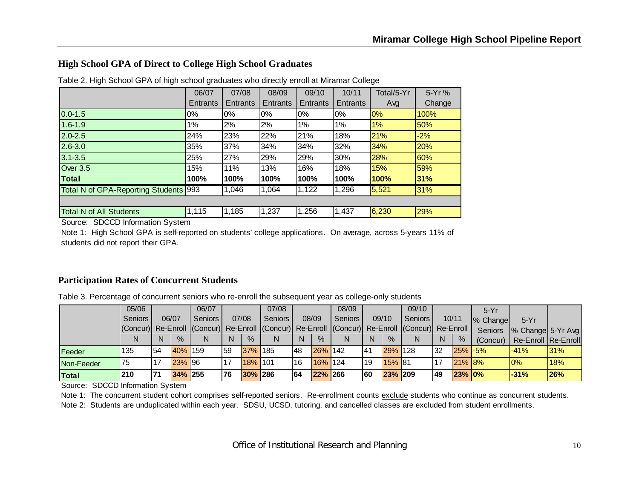#### **High School GPA of Direct to College High School Graduates**

|                                   | 06/07    | 07/08           | 08/09    | 09/10           | 10/11           | Total/5-Yr | 5-Yr%      |
|-----------------------------------|----------|-----------------|----------|-----------------|-----------------|------------|------------|
|                                   | Entrants | <b>Entrants</b> | Entrants | <b>Entrants</b> | <b>Entrants</b> | Avg        | Change     |
| $0.0 - 1.5$                       | $0\%$    | 0%              | $0\%$    | 0%              | 0%              | 0%         | 100%       |
| $1.6 - 1.9$                       | 1%       | 2%              | 2%       | 1%              | 1%              | 1%         | 50%        |
| $2.0 - 2.5$                       | 24%      | 23%             | 22%      | 21%             | 18%             | 21%        | $-2%$      |
| $2.6 - 3.0$                       | 35%      | 37%             | 34%      | 34%             | 32%             | 34%        | <b>20%</b> |
| $3.1 - 3.5$                       | 25%      | 27%             | 29%      | 29%             | 30%             | 28%        | 60%        |
| <b>Over 3.5</b>                   | 15%      | 11%             | 13%      | 16%             | 18%             | 15%        | 59%        |
| <b>Total</b>                      | 100%     | 100%            | 100%     | 100%            | 100%            | 100%       | 31%        |
| Total N of GPA-Reporting Students | 993      | 1,046           | 1,064    | 1,122           | 1,296           | 5,521      | 31%        |
|                                   |          |                 |          |                 |                 |            |            |
| <b>Total N of All Students</b>    | 1,115    | 1,185           | 1,237    | 1,256           | 1,437           | 6,230      | 29%        |

Table 2. High School GPA of high school graduates who directly enroll at Miramar College

Source: SDCCD Information System

Note 1: High School GPA is self-reported on students' college applications. On average, across 5-years 11% of students did not report their GPA.

#### **Participation Rates of Concurrent Students**

Table 3. Percentage of concurrent seniors who re-enroll the subsequent year as college-only students

|              | 05/06                                                                                          |     |         | 06/07   |     |         | 07/08   |     |         | 08/09   |    |         | 09/10     |              |               | $5-Yr$   |                     |     |
|--------------|------------------------------------------------------------------------------------------------|-----|---------|---------|-----|---------|---------|-----|---------|---------|----|---------|-----------|--------------|---------------|----------|---------------------|-----|
|              | <b>Seniors</b>                                                                                 |     | 06/07   | Seniors |     | 07/08   | Seniors |     | 08/09   | Seniors |    | 09/10   | Seniors I |              | 10/11         | % Change | $5-Yr$              |     |
|              | (Concur) Re-Enroll (Concur) Re-Enroll (Concur) Re-Enroll (Concur) Re-Enroll (Concur) Re-Enroll |     |         |         |     |         |         |     |         |         |    |         |           |              |               | Seniors  | % Change 5-Yr Avg   |     |
|              |                                                                                                |     | $\%$    |         |     | $\%$    |         | N   | $\%$    |         | N  | $\%$    |           | <sup>N</sup> | $\frac{9}{6}$ | (Concur) | Re-Enroll Re-Enroll |     |
| Feeder       | 135                                                                                            | 54  | 40% 159 |         | 59  | 37% 185 |         | 48  | 26% 142 |         | 41 | 29% 128 |           | 32           | $25\%$ -5%    |          | $-41%$              | 31% |
| Non-Feeder   | 75                                                                                             |     | 23% 96  |         | 17  | 18% 101 |         | 16  | 16% 124 |         | 19 | 15% 81  |           | 17           | $21\%$ 8\%    |          | $0\%$               | 18% |
| <b>Total</b> | 210                                                                                            | 171 | 34% 255 |         | 176 | 30% 286 |         | 164 | 22% 266 |         | 60 | 23% 209 |           | 49           | 23% 0%        |          | $-31%$              | 26% |

Source: SDCCD Information System

Note 1: The concurrent student cohort comprises self-reported seniors. Re-enrollment counts exclude students who continue as concurrent students.

Note 2: Students are unduplicated within each year. SDSU, UCSD, tutoring, and cancelled classes are excluded from student enrollments.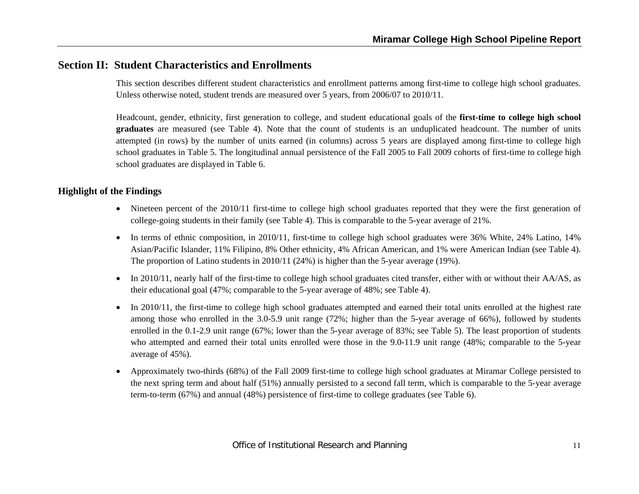## **Section II: Student Characteristics and Enrollments**

This section describes different student characteristics and enrollment patterns among first-time to college high school graduates. Unless otherwise noted, student trends are measured over 5 years, from 2006/07 to 2010/11.

Headcount, gender, ethnicity, first generation to college, and student educational goals of the **first-time to college high school graduates** are measured (see Table 4). Note that the count of students is an unduplicated headcount. The number of units attempted (in rows) by the number of units earned (in columns) across 5 years are displayed among first-time to college high school graduates in Table 5. The longitudinal annual persistence of the Fall 2005 to Fall 2009 cohorts of first-time to college high school graduates are displayed in Table 6.

- Nineteen percent of the 2010/11 first-time to college high school graduates reported that they were the first generation of college-going students in their family (see Table 4). This is comparable to the 5-year average of 21%.
- In terms of ethnic composition, in 2010/11, first-time to college high school graduates were 36% White, 24% Latino, 14% Asian/Pacific Islander, 11% Filipino, 8% Other ethnicity, 4% African American, and 1% were American Indian (see Table 4). The proportion of Latino students in 2010/11 (24%) is higher than the 5-year average (19%).
- In 2010/11, nearly half of the first-time to college high school graduates cited transfer, either with or without their AA/AS, as their educational goal (47%; comparable to the 5-year average of 48%; see Table 4).
- $\bullet$  In 2010/11, the first-time to college high school graduates attempted and earned their total units enrolled at the highest rate among those who enrolled in the 3.0-5.9 unit range (72%; higher than the 5-year average of 66%), followed by students enrolled in the 0.1-2.9 unit range (67%; lower than the 5-year average of 83%; see Table 5). The least proportion of students who attempted and earned their total units enrolled were those in the 9.0-11.9 unit range (48%; comparable to the 5-year average of 45%).
- 0 Approximately two-thirds (68%) of the Fall 2009 first-time to college high school graduates at Miramar College persisted to the next spring term and about half (51%) annually persisted to a second fall term, which is comparable to the 5-year average term-to-term (67%) and annual (48%) persistence of first-time to college graduates (see Table 6).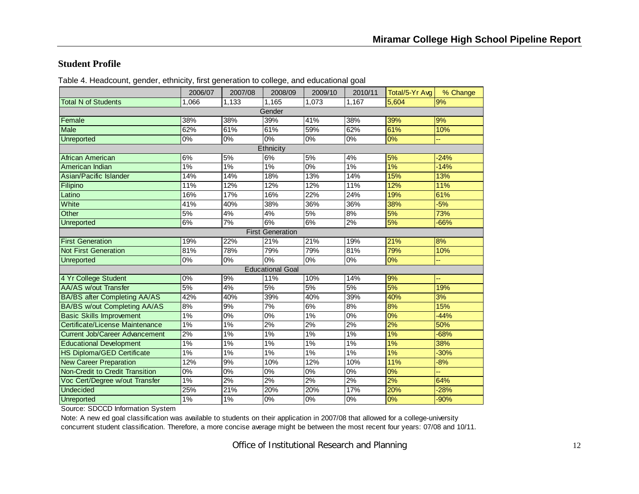#### **Student Profile**

|                                       | 2006/07 | 2007/08 | 2008/09                 | 2009/10 | 2010/11          | Total/5-Yr Avg | % Change |
|---------------------------------------|---------|---------|-------------------------|---------|------------------|----------------|----------|
| <b>Total N of Students</b>            | 1.066   | 1,133   | 1,165                   | 1.073   | 1,167            | 5.604          | 9%       |
|                                       |         |         | Gender                  |         |                  |                |          |
| Female                                | 38%     | 38%     | 39%                     | 41%     | 38%              | 39%            | 9%       |
| <b>Male</b>                           | 62%     | 61%     | 61%                     | 59%     | 62%              | 61%            | 10%      |
| <b>Unreported</b>                     | 0%      | 0%      | 0%                      | 0%      | 0%               | 0%             |          |
|                                       |         |         | Ethnicity               |         |                  |                |          |
| African American                      | 6%      | 5%      | 6%                      | 5%      | 4%               | 5%             | $-24%$   |
| American Indian                       | 1%      | 1%      | 1%                      | 0%      | 1%               | 1%             | $-14%$   |
| Asian/Pacific Islander                | 14%     | 14%     | 18%                     | 13%     | 14%              | 15%            | 13%      |
| Filipino                              | 11%     | 12%     | 12%                     | 12%     | 11%              | 12%            | 11%      |
| Latino                                | 16%     | 17%     | 16%                     | 22%     | 24%              | 19%            | 61%      |
| White                                 | 41%     | 40%     | 38%                     | 36%     | 36%              | 38%            | $-5%$    |
| Other                                 | 5%      | 4%      | 4%                      | 5%      | 8%               | 5%             | 73%      |
| <b>Unreported</b>                     | 6%      | 7%      | 6%                      | 6%      | 2%               | 5%             | $-66%$   |
|                                       |         |         | <b>First Generation</b> |         |                  |                |          |
| <b>First Generation</b>               | 19%     | 22%     | 21%                     | 21%     | 19%              | 21%            | 8%       |
| <b>Not First Generation</b>           | 81%     | 78%     | 79%                     | 79%     | 81%              | 79%            | 10%      |
| Unreported                            | 0%      | 0%      | $0\%$                   | 0%      | 0%               | 0%             |          |
|                                       |         |         | <b>Educational Goal</b> |         |                  |                |          |
| 4 Yr College Student                  | 0%      | 9%      | 11%                     | 10%     | 14%              | 9%             |          |
| <b>AA/AS w/out Transfer</b>           | 5%      | 4%      | 5%                      | 5%      | 5%               | 5%             | 19%      |
| <b>BA/BS after Completing AA/AS</b>   | 42%     | 40%     | 39%                     | 40%     | 39%              | 40%            | 3%       |
| <b>BA/BS w/out Completing AA/AS</b>   | 8%      | 9%      | 7%                      | 6%      | 8%               | 8%             | 15%      |
| <b>Basic Skills Improvement</b>       | $1\%$   | $0\%$   | $\overline{0\%}$        | $1\%$   | $\overline{0\%}$ | 0%             | $-44%$   |
| Certificate/License Maintenance       | 1%      | 1%      | 2%                      | 2%      | 2%               | 2%             | 50%      |
| <b>Current Job/Career Advancement</b> | 2%      | 1%      | 1%                      | 1%      | 1%               | 1%             | $-68%$   |
| <b>Educational Development</b>        | 1%      | 1%      | 1%                      | 1%      | 1%               | 1%             | 38%      |
| <b>HS Diploma/GED Certificate</b>     | $1\%$   | $1\%$   | $1\%$                   | $1\%$   | 1%               | 1%             | $-30%$   |
| <b>New Career Preparation</b>         | 12%     | 9%      | 10%                     | 12%     | 10%              | 11%            | $-8%$    |
| Non-Credit to Credit Transition       | 0%      | 0%      | 0%                      | $0\%$   | $\overline{0\%}$ | 0%             |          |
| Voc Cert/Degree w/out Transfer        | $1\%$   | 2%      | 2%                      | 2%      | 2%               | 2%             | 64%      |
| <b>Undecided</b>                      | 25%     | 21%     | 20%                     | 20%     | 17%              | 20%            | $-28%$   |
| <b>Unreported</b>                     | 1%      | 1%      | 0%                      | 0%      | 0%               | 0%             | $-90%$   |

Table 4. Headcount, gender, ethnicity, first generation to college, and educational goal

Source: SDCCD Information System

Note: A new ed goal classification was available to students on their application in 2007/08 that allowed for a college-university concurrent student classification. Therefore, a more concise average might be between the most recent four years: 07/08 and 10/11.

Office of Institutional Research and Planning 12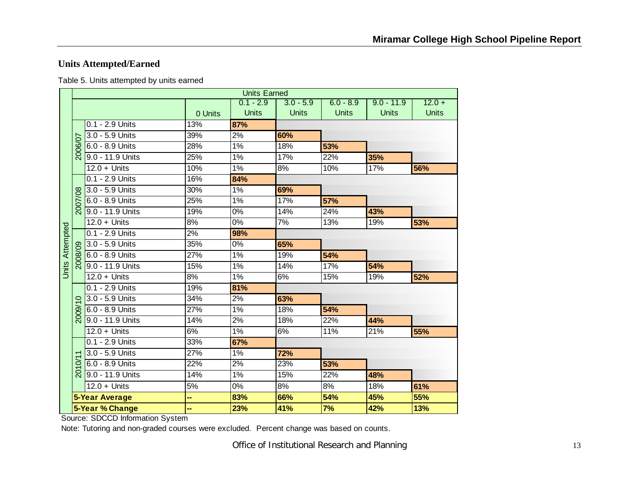## **Units Attempted/Earned**

Table 5. Units attempted by units earned

|                        |                |                       |                 | <b>Units Earned</b> |              |              |              |              |
|------------------------|----------------|-----------------------|-----------------|---------------------|--------------|--------------|--------------|--------------|
|                        |                |                       |                 | $0.1 - 2.9$         | $3.0 - 5.9$  | $6.0 - 8.9$  | $9.0 - 11.9$ | $12.0 +$     |
|                        |                |                       | 0 Units         | <b>Units</b>        | <b>Units</b> | <b>Units</b> | <b>Units</b> | <b>Units</b> |
|                        |                | 0.1 - 2.9 Units       | 13%             | 87%                 |              |              |              |              |
|                        |                | 3.0 - 5.9 Units       | 39%             | 2%                  | 60%          |              |              |              |
|                        | 2006/07        | 6.0 - 8.9 Units       | 28%             | 1%                  | 18%          | 53%          |              |              |
|                        |                | 9.0 - 11.9 Units      | 25%             | 1%                  | 17%          | 22%          | 35%          |              |
|                        |                | $12.0 +$ Units        | 10%             | 1%                  | 8%           | 10%          | 17%          | 56%          |
|                        |                | $0.1 - 2.9$ Units     | 16%             | 84%                 |              |              |              |              |
|                        |                | 3.0 - 5.9 Units       | 30%             | 1%                  | 69%          |              |              |              |
|                        | 2007/08        | 6.0 - 8.9 Units       | 25%             | 1%                  | 17%          | 57%          |              |              |
|                        |                | 9.0 - 11.9 Units      | 19%             | 0%                  | 14%          | 24%          | 43%          |              |
|                        |                | $12.0 +$ Units        | 8%              | 0%                  | 7%           | 13%          | 19%          | 53%          |
|                        |                | 0.1 - 2.9 Units       | 2%              | 98%                 |              |              |              |              |
|                        |                | 3.0 - 5.9 Units       | 35%             | $\overline{0\%}$    | 65%          |              |              |              |
|                        | ନ୍ଧି           | 6.0 - 8.9 Units       | 27%             | 1%                  | 19%          | 54%          |              |              |
| <b>Units Attempted</b> |                | 9.0 - 11.9 Units      | 15%             | $1\%$               | 14%          | 17%          | 54%          |              |
|                        |                | $12.0 +$ Units        | 8%              | 1%                  | 6%           | 15%          | 19%          | 52%          |
|                        |                | $0.1 - 2.9$ Units     | $\frac{1}{19%}$ | 81%                 |              |              |              |              |
|                        | $\circ$        | 3.0 - 5.9 Units       | 34%             | 2%                  | 63%          |              |              |              |
|                        | 2009/          | 6.0 - 8.9 Units       | 27%             | $1\%$               | 18%          | 54%          |              |              |
|                        |                | 9.0 - 11.9 Units      | 14%             | 2%                  | 18%          | 22%          | 44%          |              |
|                        |                | $12.0 +$ Units        | 6%              | 1%                  | 6%           | 11%          | 21%          | 55%          |
|                        |                | 0.1 - 2.9 Units       | 33%             | 67%                 |              |              |              |              |
|                        |                | 3.0 - 5.9 Units       | 27%             | 1%                  | 72%          |              |              |              |
|                        | $\supseteq$    | 6.0 - 8.9 Units       | 22%             | 2%                  | 23%          | 53%          |              |              |
|                        | $\overline{5}$ | 9.0 - 11.9 Units      | 14%             | $1\%$               | 15%          | 22%          | 48%          |              |
|                        |                | $12.0 + Units$        | 5%              | 0%                  | 8%           | 8%           | 18%          | 61%          |
|                        |                | <b>5-Year Average</b> | .,              | 83%                 | 66%          | 54%          | 45%          | 55%          |
|                        |                | 5-Year % Change       | --              | 23%                 | 41%          | 7%           | 42%          | 13%          |

Source: SDCCD Information System

Note: Tutoring and non-graded courses were excluded. Percent change was based on counts.

Office of Institutional Research and Planning 13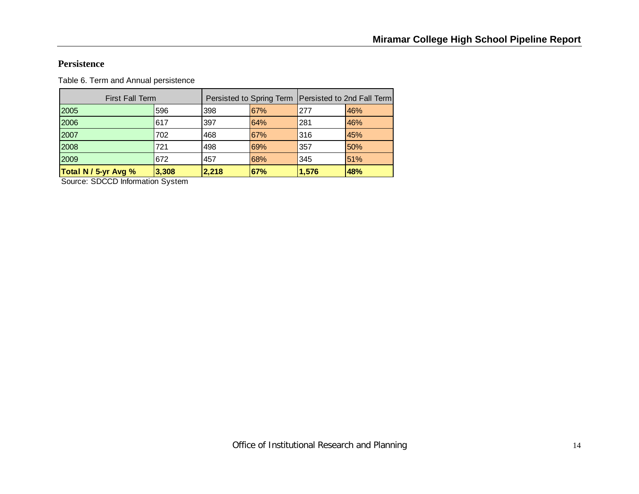#### **Persistence**

Table 6. Term and Annual persistence

| <b>Total N / 5-yr Avg %</b> | 3,308 | 2,218 | 67%                                                   | 1,576 | 48% |
|-----------------------------|-------|-------|-------------------------------------------------------|-------|-----|
| 2009                        | 672   | 457   | 68%                                                   | 345   | 51% |
| 2008                        | 721   | 498   | 69%                                                   | 357   | 50% |
| 2007                        | 702   | 468   | 67%                                                   | 316   | 45% |
| 2006                        | 617   | 397   | 64%                                                   | 281   | 46% |
| 2005                        | 596   | 398   | 67%                                                   | 277   | 46% |
| <b>First Fall Term</b>      |       |       | Persisted to Spring Term   Persisted to 2nd Fall Term |       |     |

Source: SDCCD Information System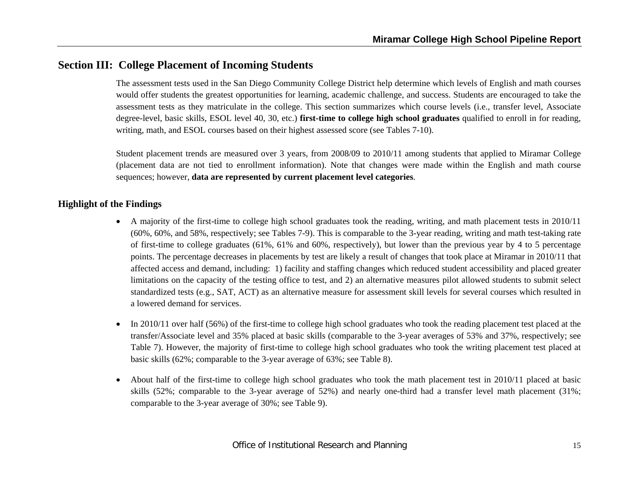## **Section III: College Placement of Incoming Students**

The assessment tests used in the San Diego Community College District help determine which levels of English and math courses would offer students the greatest opportunities for learning, academic challenge, and success. Students are encouraged to take the assessment tests as they matriculate in the college. This section summarizes which course levels (i.e., transfer level, Associate degree-level, basic skills, ESOL level 40, 30, etc.) **first-time to college high school graduates** qualified to enroll in for reading, writing, math, and ESOL courses based on their highest assessed score (see Tables 7-10).

Student placement trends are measured over 3 years, from 2008/09 to 2010/11 among students that applied to Miramar College (placement data are not tied to enrollment information). Note that changes were made within the English and math course sequences; however, **data are represented by current placement level categories**.

- A majority of the first-time to college high school graduates took the reading, writing, and math placement tests in 2010/11 (60%, 60%, and 58%, respectively; see Tables 7-9). This is comparable to the 3-year reading, writing and math test-taking rate of first-time to college graduates (61%, 61% and 60%, respectively), but lower than the previous year by 4 to 5 percentage points. The percentage decreases in placements by test are likely a result of changes that took place at Miramar in 2010/11 that affected access and demand, including: 1) facility and staffing changes which reduced student accessibility and placed greater limitations on the capacity of the testing office to test, and 2) an alternative measures pilot allowed students to submit select standardized tests (e.g., SAT, ACT) as an alternative measure for assessment skill levels for several courses which resulted in a lowered demand for services.
- 0 In 2010/11 over half (56%) of the first-time to college high school graduates who took the reading placement test placed at the transfer/Associate level and 35% placed at basic skills (comparable to the 3-year averages of 53% and 37%, respectively; see Table 7). However, the majority of first-time to college high school graduates who took the writing placement test placed at basic skills (62%; comparable to the 3-year average of 63%; see Table 8).
- 0 About half of the first-time to college high school graduates who took the math placement test in 2010/11 placed at basic skills (52%; comparable to the 3-year average of 52%) and nearly one-third had a transfer level math placement (31%; comparable to the 3-year average of 30%; see Table 9).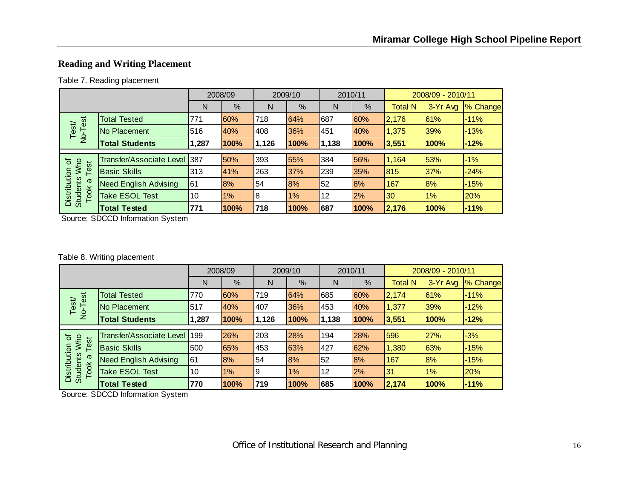## **Reading and Writing Placement**

#### Table 7. Reading placement

|                                         |                                 |            | 2008/09 |       | 2009/10 | 2010/11 |      |                | 2008/09 - 2010/11 |          |
|-----------------------------------------|---------------------------------|------------|---------|-------|---------|---------|------|----------------|-------------------|----------|
|                                         |                                 | N          | %       | N     | %       | N       | %    | <b>Total N</b> | 3-Yr Avg          | % Change |
|                                         | <b>Total Tested</b>             | 771        | 60%     | 718   | 64%     | 687     | 60%  | 2,176          | 61%               | $-11%$   |
| No-Test<br>Test/                        | No Placement                    | 516        | 40%     | 408   | 36%     | 451     | 40%  | 1,375          | 39%               | $-13%$   |
|                                         | <b>Total Students</b>           | 1,287      | 100%    | 1,126 | 100%    | 1,138   | 100% | 3,551          | 100%              | $-12%$   |
|                                         |                                 |            |         |       |         |         |      |                |                   |          |
| Who<br>৳<br>est                         | <b>Transfer/Associate Level</b> | <b>387</b> | 50%     | 393   | 55%     | 384     | 56%  | 1,164          | 53%               | $-1%$    |
|                                         | <b>Basic Skills</b>             | 313        | 41%     | 263   | 37%     | 239     | 35%  | 815            | 37%               | $-24%$   |
| σ                                       | <b>Need English Advising</b>    | 61         | 8%      | 54    | 8%      | 52      | 8%   | 167            | 8%                | $-15%$   |
| Distribution<br><b>Students</b><br>Took | <b>Take ESOL Test</b>           | 10         | 1%      | 8     | 1%      | 12      | 2%   | 30             | 1%                | 20%      |
|                                         | <b>Total Tested</b>             | 771        | 100%    | 718   | 100%    | 687     | 100% | 2,176          | 100%              | $-11%$   |

Source: SDCCD Information System

#### Table 8. Writing placement

|                                         |                              |       | 2008/09 |       | 2009/10 |       | 2010/11 |                | 2008/09 - 2010/11 |          |
|-----------------------------------------|------------------------------|-------|---------|-------|---------|-------|---------|----------------|-------------------|----------|
|                                         |                              | N     | %       | N     | %       | N     | %       | <b>Total N</b> | 3-Yr Avg          | % Change |
|                                         | <b>Total Tested</b>          | 770   | 60%     | 719   | 64%     | 685   | 60%     | 2,174          | 61%               | $-11%$   |
| No-Test<br>Test                         | No Placement                 | 517   | 40%     | 407   | 36%     | 453   | 40%     | 1,377          | 39%               | $-12%$   |
|                                         | <b>Total Students</b>        | 1,287 | 100%    | 1,126 | 100%    | 1,138 | 100%    | 3,551          | 100%              | $-12%$   |
|                                         | Transfer/Associate Level 199 |       | 26%     | 203   | 28%     | 194   | 28%     | 596            | 27%               | $-3%$    |
| ð<br><b>MW</b>                          |                              |       |         |       |         |       |         |                |                   |          |
| Test                                    | <b>Basic Skills</b>          | 500   | 65%     | 453   | 63%     | 427   | 62%     | 1,380          | 63%               | $-15%$   |
| σ                                       | <b>Need English Advising</b> | 161   | 8%      | 54    | 8%      | 52    | 8%      | 167            | 8%                | $-15%$   |
| Distribution<br><b>Students</b><br>Took | <b>Take ESOL Test</b>        | 10    | $1\%$   | 9     | 1%      | 12    | 2%      | 31             | $1\%$             | 20%      |
|                                         | <b>Total Tested</b>          | 770   | 100%    | 719   | 100%    | 685   | 100%    | 2,174          | 100%              | $-11%$   |

Source: SDCCD Information System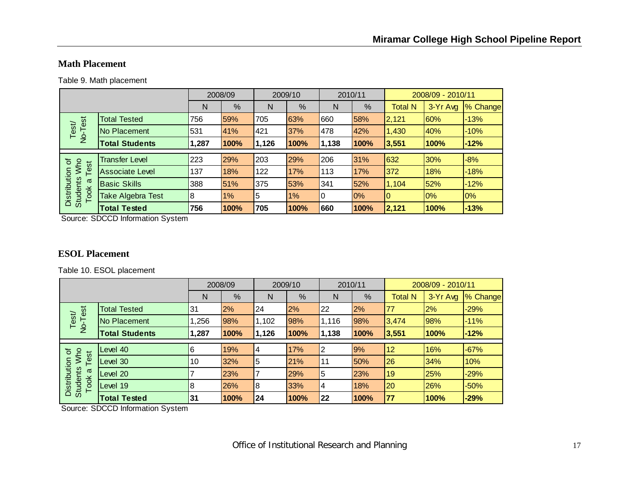#### **Math Placement**

Table 9. Math placement

|                                         |                        |       | 2008/09 |       | 2009/10 | 2010/11 |      |                | 2008/09 - 2010/11 |          |
|-----------------------------------------|------------------------|-------|---------|-------|---------|---------|------|----------------|-------------------|----------|
|                                         |                        | N     | %       | N     | %       | N       | %    | <b>Total N</b> | 3-Yr Avg          | % Change |
| est                                     | <b>Total Tested</b>    | 756   | 59%     | 705   | 63%     | 660     | 58%  | 2,121          | 60%               | $-13%$   |
| Test/<br>$\overline{P}$                 | No Placement           | 531   | 41%     | 421   | 37%     | 478     | 42%  | 1,430          | 40%               | $-10%$   |
|                                         | <b>Total Students</b>  | 1,287 | 100%    | 1,126 | 100%    | 1,138   | 100% | 3,551          | 100%              | $-12%$   |
|                                         |                        |       |         |       |         |         |      |                |                   |          |
| Who<br>৳<br>est                         | <b>Transfer Level</b>  | 223   | 29%     | 203   | 29%     | 206     | 31%  | 632            | 30%               | $-8%$    |
|                                         | <b>Associate Level</b> | 137   | 18%     | 122   | 17%     | 113     | 17%  | 372            | 18%               | $-18%$   |
| σ                                       | <b>Basic Skills</b>    | 388   | 51%     | 375   | 53%     | 341     | 52%  | 1,104          | 52%               | $-12%$   |
| Distribution<br><b>Students</b><br>Took | Take Algebra Test      | 8     | 1%      | 5     | 1%      | 10      | 0%   | IO             | $0\%$             | 0%       |
|                                         | <b>Total Tested</b>    | 756   | 100%    | 705   | 100%    | 1660    | 100% | 2,121          | 100%              | $-13%$   |

Source: SDCCD Information System

#### **ESOL Placement**

Table 10. ESOL placement

|                                         |                       |       | 2008/09 |                | 2009/10 | 2010/11 |      |                  | 2008/09 - 2010/11 |          |
|-----------------------------------------|-----------------------|-------|---------|----------------|---------|---------|------|------------------|-------------------|----------|
|                                         |                       | N     | %       | N              | %       | N       | %    | Total N          | 3-Yr Avg          | % Change |
|                                         | <b>Total Tested</b>   | 31    | 2%      | 24             | 2%      | 22      | 2%   | 177              | 2%                | $-29%$   |
| No-Test<br>Test/                        | No Placement          | ,256  | 98%     | 1,102          | 98%     | 1,116   | 98%  | 3,474            | 98%               | $-11%$   |
|                                         | <b>Total Students</b> | 1,287 | 100%    | 1,126          | 100%    | 1,138   | 100% | 3,551            | 100%              | $-12%$   |
|                                         |                       |       |         |                |         |         |      |                  |                   |          |
| ৳                                       | Level 40              | 6     | 19%     | $\overline{4}$ | 17%     | l2      | 9%   | <b>12</b>        | 16%               | $-67%$   |
| <b>MW</b><br>est                        | Level 30              | 10    | 32%     | 5              | 21%     | l 11    | 50%  | 26               | 34%               | 10%      |
| σ                                       | evel 20               |       | 23%     |                | 29%     | 15      | 23%  | 19               | 25%               | $-29%$   |
| Distribution<br><b>Students</b><br>Took | Level 19              | 8     | 26%     | 18             | 33%     | 14      | 18%  | 20               | 26%               | $-50%$   |
|                                         | <b>Total Tested</b>   | 31    | 100%    | 124            | 100%    | 22      | 100% | $\overline{177}$ | 100%              | $-29%$   |

Source: SDCCD Information System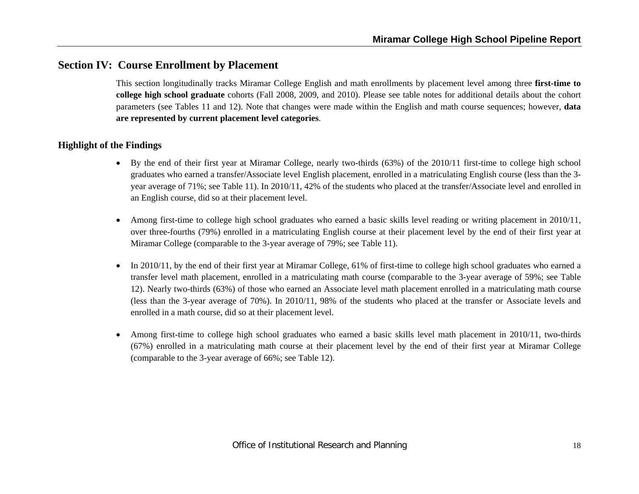## **Section IV: Course Enrollment by Placement**

This section longitudinally tracks Miramar College English and math enrollments by placement level among three **first-time to college high school graduate** cohorts (Fall 2008, 2009, and 2010). Please see table notes for additional details about the cohort parameters (see Tables 11 and 12). Note that changes were made within the English and math course sequences; however, **data are represented by current placement level categories**.

- By the end of their first year at Miramar College, nearly two-thirds (63%) of the 2010/11 first-time to college high school graduates who earned a transfer/Associate level English placement, enrolled in a matriculating English course (less than the 3 year average of 71%; see Table 11). In 2010/11, 42% of the students who placed at the transfer/Associate level and enrolled in an English course, did so at their placement level.
- 6 Among first-time to college high school graduates who earned a basic skills level reading or writing placement in 2010/11, over three-fourths (79%) enrolled in a matriculating English course at their placement level by the end of their first year at Miramar College (comparable to the 3-year average of 79%; see Table 11).
- $\bullet$  In 2010/11, by the end of their first year at Miramar College, 61% of first-time to college high school graduates who earned a transfer level math placement, enrolled in a matriculating math course (comparable to the 3-year average of 59%; see Table 12). Nearly two-thirds (63%) of those who earned an Associate level math placement enrolled in a matriculating math course (less than the 3-year average of 70%). In 2010/11, 98% of the students who placed at the transfer or Associate levels and enrolled in a math course, did so at their placement level.
- 0 Among first-time to college high school graduates who earned a basic skills level math placement in 2010/11, two-thirds (67%) enrolled in a matriculating math course at their placement level by the end of their first year at Miramar College (comparable to the 3-year average of 66%; see Table 12).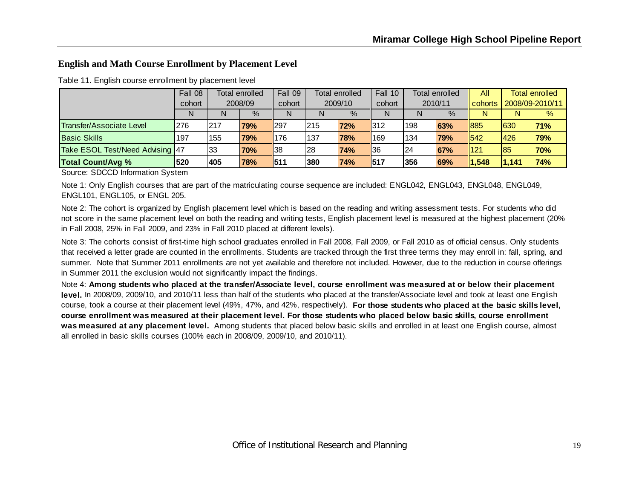#### **English and Math Course Enrollment by Placement Level**

|                                 | Fall 08 | Total enrolled<br>2008/09 |            | Fall 09     | <b>Total enrolled</b><br>2009/10 |            | Fall 10        | Total enrolled<br>2010/11 |      | All       | <b>Total enrolled</b><br>2008/09-2010/11 |            |
|---------------------------------|---------|---------------------------|------------|-------------|----------------------------------|------------|----------------|---------------------------|------|-----------|------------------------------------------|------------|
|                                 | cohort  |                           |            | cohort      |                                  |            | cohort         |                           |      | l cohorts |                                          |            |
|                                 | N       | N                         | $\%$       | N           |                                  | $\%$       | N              | N                         | $\%$ | N         | N                                        | %          |
| Transfer/Associate Level        | 276     | 217                       | 79%        | $\vert$ 297 | 215                              | <b>72%</b> | 312            | 198                       | 63%  | 1885      | 630                                      | 71%        |
| <b>Basic Skills</b>             | 197     | 155                       | <b>79%</b> | 176         | 137                              | <b>78%</b> | 169            | 134                       | 79%  | 542       | 426                                      | 79%        |
| Take ESOL Test/Need Advising 47 |         | 33                        | <b>70%</b> | ∥38         | 128                              | 74%        | $\parallel 36$ | 24                        | 67%  | 1121      | 85                                       | <b>70%</b> |
| <b>Total Count/Avg %</b>        | 520     | 1405                      | 78%        | $II$ 511    | 380                              | 74%        | 1517           | 356                       | 69%  | 1,548     | 1,141                                    | 74%        |

Table 11. English course enrollment by placement level

Source: SDCCD Information System

Note 1: Only English courses that are part of the matriculating course sequence are included: ENGL042, ENGL043, ENGL048, ENGL049, ENGL101, ENGL105, or ENGL 205.

Note 2: The cohort is organized by English placement level which is based on the reading and writing assessment tests. For students who did not score in the same placement level on both the reading and writing tests, English placement level is measured at the highest placement (20% in Fall 2008, 25% in Fall 2009, and 23% in Fall 2010 placed at different levels).

Note 3: The cohorts consist of first-time high school graduates enrolled in Fall 2008, Fall 2009, or Fall 2010 as of official census. Only students that received a letter grade are counted in the enrollments. Students are tracked through the first three terms they may enroll in: fall, spring, and summer. Note that Summer 2011 enrollments are not yet available and therefore not included. However, due to the reduction in course offerings in Summer 2011 the exclusion would not significantly impact the findings.

Note 4: **Among students who placed at the transfer/Associate level, course enrollment was measured at or below their placement level.** In 2008/09, 2009/10, and 2010/11 less than half of the students who placed at the transfer/Associate level and took at least one English course, took a course at their placement level (49%, 47%, and 42%, respectively). **For those students who placed at the basic skills level, course enrollment was measured at their placement level. For those students who placed below basic skills, course enrollment was measured at any placement level.** Among students that placed below basic skills and enrolled in at least one English course, almost all enrolled in basic skills courses (100% each in 2008/09, 2009/10, and 2010/11).